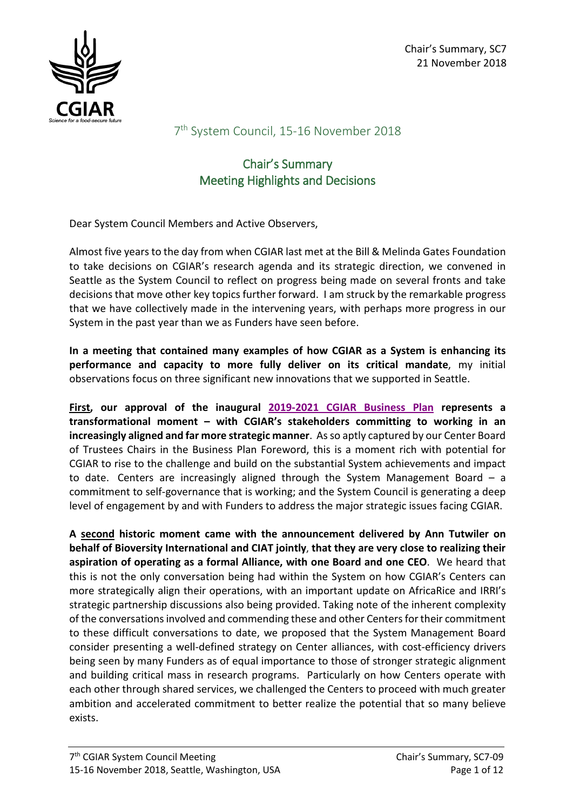

## 7<sup>th</sup> System Council, 15-16 November 2018

# Chair's Summary Meeting Highlights and Decisions

Dear System Council Members and Active Observers,

Almost five yearsto the day from when CGIAR last met at the Bill & Melinda Gates Foundation to take decisions on CGIAR's research agenda and its strategic direction, we convened in Seattle as the System Council to reflect on progress being made on several fronts and take decisions that move other key topics further forward. I am struck by the remarkable progress that we have collectively made in the intervening years, with perhaps more progress in our System in the past year than we as Funders have seen before.

**In a meeting that contained many examples of how CGIAR as a System is enhancing its performance and capacity to more fully deliver on its critical mandate**, my initial observations focus on three significant new innovations that we supported in Seattle.

**First, our approval of the inaugural 2019-2021 [CGIAR Business Plan](https://www.cgiar.org/wp/wp-content/uploads/2018/11/SC7-02_CGIAR-System_BusinessPlan_2019-2021.pdf) represents a transformational moment – with CGIAR's stakeholders committing to working in an increasingly aligned and far more strategic manner**. As so aptly captured by our Center Board of Trustees Chairs in the Business Plan Foreword, this is a moment rich with potential for CGIAR to rise to the challenge and build on the substantial System achievements and impact to date. Centers are increasingly aligned through the System Management Board – a commitment to self-governance that is working; and the System Council is generating a deep level of engagement by and with Funders to address the major strategic issues facing CGIAR.

**A second historic moment came with the announcement delivered by Ann Tutwiler on behalf of Bioversity International and CIAT jointly**, **that they are very close to realizing their aspiration of operating as a formal Alliance, with one Board and one CEO**. We heard that this is not the only conversation being had within the System on how CGIAR's Centers can more strategically align their operations, with an important update on AfricaRice and IRRI's strategic partnership discussions also being provided. Taking note of the inherent complexity of the conversations involved and commending these and other Centers for their commitment to these difficult conversations to date, we proposed that the System Management Board consider presenting a well-defined strategy on Center alliances, with cost-efficiency drivers being seen by many Funders as of equal importance to those of stronger strategic alignment and building critical mass in research programs. Particularly on how Centers operate with each other through shared services, we challenged the Centers to proceed with much greater ambition and accelerated commitment to better realize the potential that so many believe exists.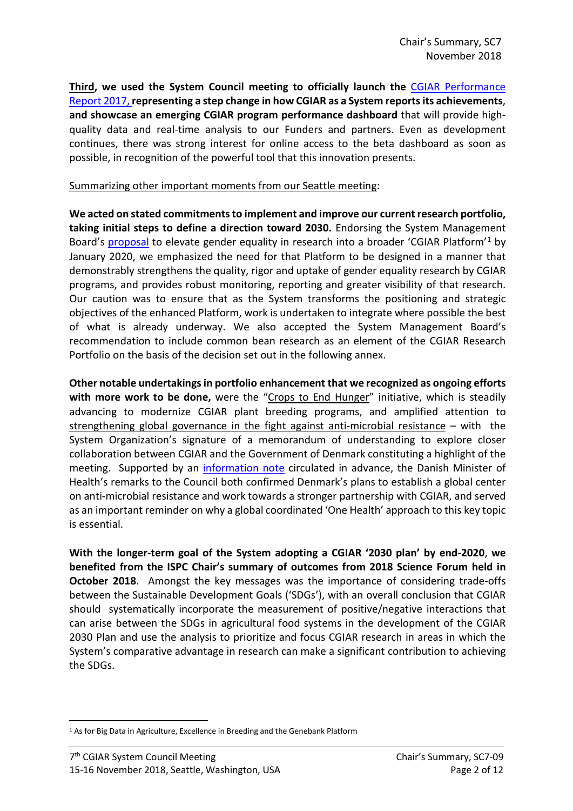**Third, we used the System Council meeting to officially launch the** [CGIAR Performance](https://www.cgiar.org/annual-report/)  [Report 2017,](https://www.cgiar.org/annual-report/) **representing a step change in how CGIAR as a System reports its achievements**, **and showcase an emerging CGIAR program performance dashboard** that will provide highquality data and real-time analysis to our Funders and partners. Even as development continues, there was strong interest for online access to the beta dashboard as soon as possible, in recognition of the powerful tool that this innovation presents.

#### Summarizing other important moments from our Seattle meeting:

**We acted on stated commitments to implement and improve our current research portfolio, taking initial steps to define a direction toward 2030.** Endorsing the System Management Board's [proposal](https://www.cgiar.org/wp/wp-content/uploads/2018/11/SC7-E-GenderResearch_Platform.pdf) to elevate gender equality in research into a broader 'CGIAR Platform'<sup>[1](#page-1-0)</sup> by January 2020, we emphasized the need for that Platform to be designed in a manner that demonstrably strengthens the quality, rigor and uptake of gender equality research by CGIAR programs, and provides robust monitoring, reporting and greater visibility of that research. Our caution was to ensure that as the System transforms the positioning and strategic objectives of the enhanced Platform, work is undertaken to integrate where possible the best of what is already underway. We also accepted the System Management Board's recommendation to include common bean research as an element of the CGIAR Research Portfolio on the basis of the decision set out in the following annex.

**Other notable undertakings in portfolio enhancement that we recognized as ongoing efforts with more work to be done,** were the "Crops to End Hunger" initiative, which is steadily advancing to modernize CGIAR plant breeding programs, and amplified attention to strengthening global governance in the fight against anti-microbial resistance – with the System Organization's signature of a memorandum of understanding to explore closer collaboration between CGIAR and the Government of Denmark constituting a highlight of the meeting. Supported by an [information note](https://www.cgiar.org/wp/wp-content/uploads/2018/11/Background-Doc_2-pager-The-International-Centre-for-Interdisciplinary-Solutions-on-AMR.pdf) circulated in advance, the Danish Minister of Health's remarks to the Council both confirmed Denmark's plans to establish a global center on anti-microbial resistance and work towards a stronger partnership with CGIAR, and served as an important reminder on why a global coordinated 'One Health' approach to this key topic is essential.

**With the longer-term goal of the System adopting a CGIAR '2030 plan' by end-2020**, **we benefited from the ISPC Chair's summary of outcomes from 2018 Science Forum held in October 2018**. Amongst the key messages was the importance of considering trade-offs between the Sustainable Development Goals ('SDGs'), with an overall conclusion that CGIAR should systematically incorporate the measurement of positive/negative interactions that can arise between the SDGs in agricultural food systems in the development of the CGIAR 2030 Plan and use the analysis to prioritize and focus CGIAR research in areas in which the System's comparative advantage in research can make a significant contribution to achieving the SDGs.

<span id="page-1-0"></span><sup>&</sup>lt;sup>1</sup> As for Big Data in Agriculture, Excellence in Breeding and the Genebank Platform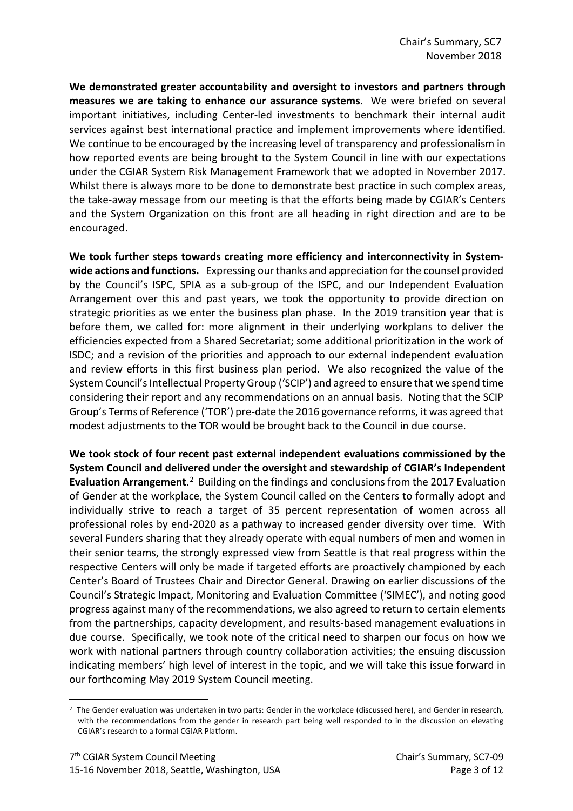**We demonstrated greater accountability and oversight to investors and partners through measures we are taking to enhance our assurance systems**. We were briefed on several important initiatives, including Center-led investments to benchmark their internal audit services against best international practice and implement improvements where identified. We continue to be encouraged by the increasing level of transparency and professionalism in how reported events are being brought to the System Council in line with our expectations under the CGIAR System Risk Management Framework that we adopted in November 2017. Whilst there is always more to be done to demonstrate best practice in such complex areas, the take-away message from our meeting is that the efforts being made by CGIAR's Centers and the System Organization on this front are all heading in right direction and are to be encouraged.

**We took further steps towards creating more efficiency and interconnectivity in Systemwide actions and functions.** Expressing our thanks and appreciation for the counsel provided by the Council's ISPC, SPIA as a sub-group of the ISPC, and our Independent Evaluation Arrangement over this and past years, we took the opportunity to provide direction on strategic priorities as we enter the business plan phase. In the 2019 transition year that is before them, we called for: more alignment in their underlying workplans to deliver the efficiencies expected from a Shared Secretariat; some additional prioritization in the work of ISDC; and a revision of the priorities and approach to our external independent evaluation and review efforts in this first business plan period. We also recognized the value of the System Council's Intellectual Property Group ('SCIP') and agreed to ensure that we spend time considering their report and any recommendations on an annual basis. Noting that the SCIP Group's Terms of Reference ('TOR') pre-date the 2016 governance reforms, it was agreed that modest adjustments to the TOR would be brought back to the Council in due course.

**We took stock of four recent past external independent evaluations commissioned by the System Council and delivered under the oversight and stewardship of CGIAR's Independent**  Evaluation Arrangement.<sup>[2](#page-2-0)</sup> Building on the findings and conclusions from the 2017 Evaluation of Gender at the workplace, the System Council called on the Centers to formally adopt and individually strive to reach a target of 35 percent representation of women across all professional roles by end-2020 as a pathway to increased gender diversity over time. With several Funders sharing that they already operate with equal numbers of men and women in their senior teams, the strongly expressed view from Seattle is that real progress within the respective Centers will only be made if targeted efforts are proactively championed by each Center's Board of Trustees Chair and Director General. Drawing on earlier discussions of the Council's Strategic Impact, Monitoring and Evaluation Committee ('SIMEC'), and noting good progress against many of the recommendations, we also agreed to return to certain elements from the partnerships, capacity development, and results-based management evaluations in due course. Specifically, we took note of the critical need to sharpen our focus on how we work with national partners through country collaboration activities; the ensuing discussion indicating members' high level of interest in the topic, and we will take this issue forward in our forthcoming May 2019 System Council meeting.

<span id="page-2-0"></span> $2$  The Gender evaluation was undertaken in two parts: Gender in the workplace (discussed here), and Gender in research, with the recommendations from the gender in research part being well responded to in the discussion on elevating CGIAR's research to a formal CGIAR Platform.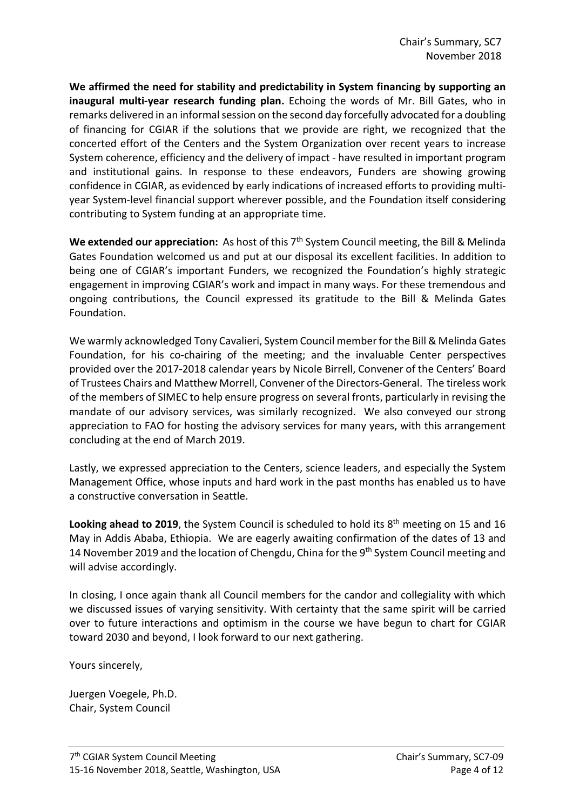**We affirmed the need for stability and predictability in System financing by supporting an inaugural multi-year research funding plan.** Echoing the words of Mr. Bill Gates, who in remarks delivered in an informal session on the second day forcefully advocated for a doubling of financing for CGIAR if the solutions that we provide are right, we recognized that the concerted effort of the Centers and the System Organization over recent years to increase System coherence, efficiency and the delivery of impact - have resulted in important program and institutional gains. In response to these endeavors, Funders are showing growing confidence in CGIAR, as evidenced by early indications of increased efforts to providing multiyear System-level financial support wherever possible, and the Foundation itself considering contributing to System funding at an appropriate time.

We extended our appreciation: As host of this 7<sup>th</sup> System Council meeting, the Bill & Melinda Gates Foundation welcomed us and put at our disposal its excellent facilities. In addition to being one of CGIAR's important Funders, we recognized the Foundation's highly strategic engagement in improving CGIAR's work and impact in many ways. For these tremendous and ongoing contributions, the Council expressed its gratitude to the Bill & Melinda Gates Foundation.

We warmly acknowledged Tony Cavalieri, System Council member for the Bill & Melinda Gates Foundation, for his co-chairing of the meeting; and the invaluable Center perspectives provided over the 2017-2018 calendar years by Nicole Birrell, Convener of the Centers' Board of Trustees Chairs and Matthew Morrell, Convener of the Directors-General. The tireless work of the members of SIMEC to help ensure progress on several fronts, particularly in revising the mandate of our advisory services, was similarly recognized. We also conveyed our strong appreciation to FAO for hosting the advisory services for many years, with this arrangement concluding at the end of March 2019.

Lastly, we expressed appreciation to the Centers, science leaders, and especially the System Management Office, whose inputs and hard work in the past months has enabled us to have a constructive conversation in Seattle.

**Looking ahead to 2019**, the System Council is scheduled to hold its 8<sup>th</sup> meeting on 15 and 16 May in Addis Ababa, Ethiopia. We are eagerly awaiting confirmation of the dates of 13 and 14 November 2019 and the location of Chengdu, China for the 9<sup>th</sup> System Council meeting and will advise accordingly.

In closing, I once again thank all Council members for the candor and collegiality with which we discussed issues of varying sensitivity. With certainty that the same spirit will be carried over to future interactions and optimism in the course we have begun to chart for CGIAR toward 2030 and beyond, I look forward to our next gathering.

Yours sincerely,

Juergen Voegele, Ph.D. Chair, System Council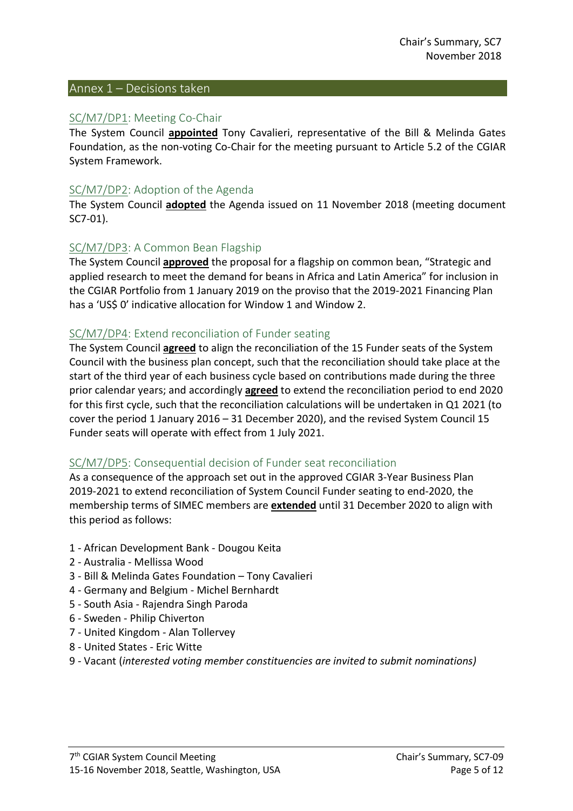#### Annex 1 – Decisions taken

#### SC/M7/DP1: Meeting Co-Chair

The System Council **appointed** Tony Cavalieri, representative of the Bill & Melinda Gates Foundation, as the non-voting Co-Chair for the meeting pursuant to Article 5.2 of the CGIAR System Framework.

#### SC/M7/DP2: Adoption of the Agenda

The System Council **adopted** the Agenda issued on 11 November 2018 (meeting document SC7-01).

#### SC/M7/DP3: A Common Bean Flagship

The System Council **approved** the proposal for a flagship on common bean, "Strategic and applied research to meet the demand for beans in Africa and Latin America" for inclusion in the CGIAR Portfolio from 1 January 2019 on the proviso that the 2019-2021 Financing Plan has a 'US\$ 0' indicative allocation for Window 1 and Window 2.

#### SC/M7/DP4: Extend reconciliation of Funder seating

The System Council **agreed** to align the reconciliation of the 15 Funder seats of the System Council with the business plan concept, such that the reconciliation should take place at the start of the third year of each business cycle based on contributions made during the three prior calendar years; and accordingly **agreed** to extend the reconciliation period to end 2020 for this first cycle, such that the reconciliation calculations will be undertaken in Q1 2021 (to cover the period 1 January 2016 – 31 December 2020), and the revised System Council 15 Funder seats will operate with effect from 1 July 2021.

#### SC/M7/DP5: Consequential decision of Funder seat reconciliation

As a consequence of the approach set out in the approved CGIAR 3-Year Business Plan 2019-2021 to extend reconciliation of System Council Funder seating to end-2020, the membership terms of SIMEC members are **extended** until 31 December 2020 to align with this period as follows:

- 1 African Development Bank Dougou Keita
- 2 Australia Mellissa Wood
- 3 Bill & Melinda Gates Foundation Tony Cavalieri
- 4 Germany and Belgium Michel Bernhardt
- 5 South Asia Rajendra Singh Paroda
- 6 Sweden Philip Chiverton
- 7 United Kingdom Alan Tollervey
- 8 United States Eric Witte
- 9 Vacant (*interested voting member constituencies are invited to submit nominations)*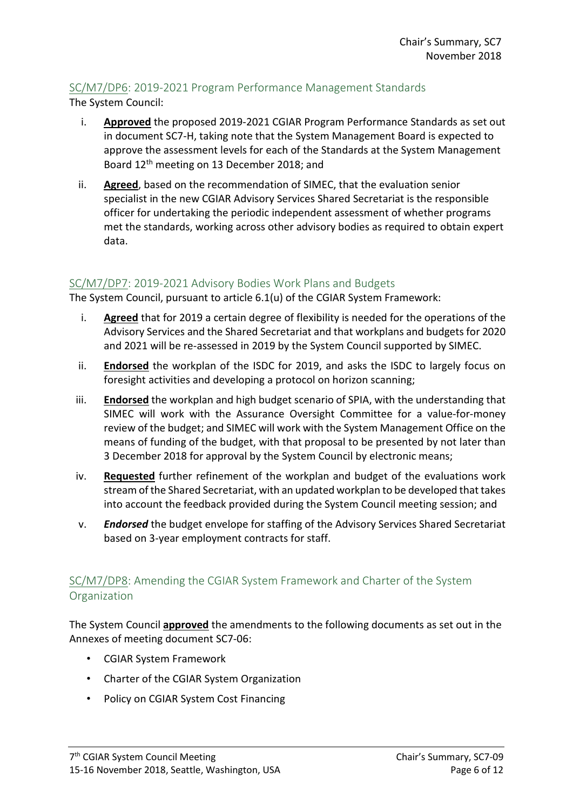# SC/M7/DP6: 2019-2021 Program Performance Management Standards

The System Council:

- i. **Approved** the proposed 2019-2021 CGIAR Program Performance Standards as set out in document SC7-H, taking note that the System Management Board is expected to approve the assessment levels for each of the Standards at the System Management Board 12th meeting on 13 December 2018; and
- ii. **Agreed**, based on the recommendation of SIMEC, that the evaluation senior specialist in the new CGIAR Advisory Services Shared Secretariat is the responsible officer for undertaking the periodic independent assessment of whether programs met the standards, working across other advisory bodies as required to obtain expert data.

### SC/M7/DP7: 2019-2021 Advisory Bodies Work Plans and Budgets

The System Council, pursuant to article 6.1(u) of the CGIAR System Framework:

- i. **Agreed** that for 2019 a certain degree of flexibility is needed for the operations of the Advisory Services and the Shared Secretariat and that workplans and budgets for 2020 and 2021 will be re-assessed in 2019 by the System Council supported by SIMEC.
- ii. **Endorsed** the workplan of the ISDC for 2019, and asks the ISDC to largely focus on foresight activities and developing a protocol on horizon scanning;
- iii. **Endorsed** the workplan and high budget scenario of SPIA, with the understanding that SIMEC will work with the Assurance Oversight Committee for a value-for-money review of the budget; and SIMEC will work with the System Management Office on the means of funding of the budget, with that proposal to be presented by not later than 3 December 2018 for approval by the System Council by electronic means;
- iv. **Requested** further refinement of the workplan and budget of the evaluations work stream of the Shared Secretariat, with an updated workplan to be developed that takes into account the feedback provided during the System Council meeting session; and
- v. *Endorsed* the budget envelope for staffing of the Advisory Services Shared Secretariat based on 3-year employment contracts for staff.

# SC/M7/DP8: Amending the CGIAR System Framework and Charter of the System **Organization**

The System Council **approved** the amendments to the following documents as set out in the Annexes of meeting document SC7-06:

- CGIAR System Framework
- Charter of the CGIAR System Organization
- Policy on CGIAR System Cost Financing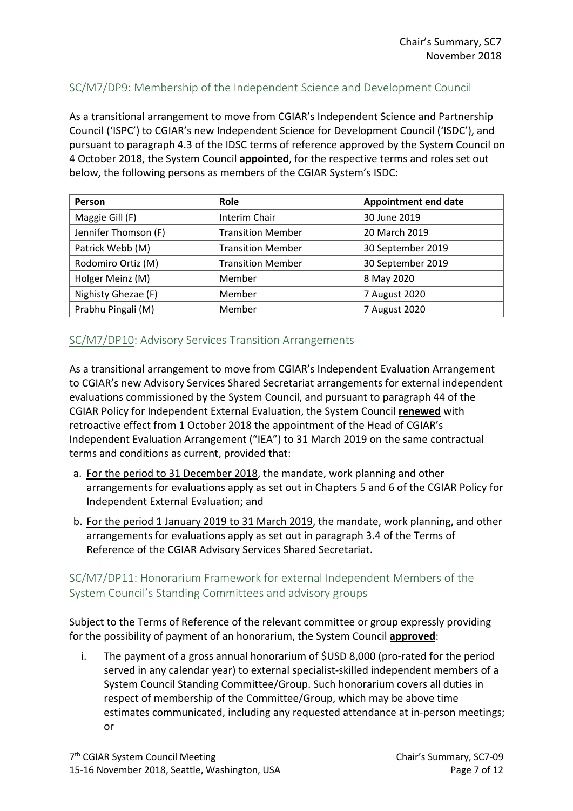# SC/M7/DP9: Membership of the Independent Science and Development Council

As a transitional arrangement to move from CGIAR's Independent Science and Partnership Council ('ISPC') to CGIAR's new Independent Science for Development Council ('ISDC'), and pursuant to paragraph 4.3 of the IDSC terms of reference approved by the System Council on 4 October 2018, the System Council **appointed**, for the respective terms and roles set out below, the following persons as members of the CGIAR System's ISDC:

| Person               | <b>Role</b>              | <b>Appointment end date</b> |
|----------------------|--------------------------|-----------------------------|
| Maggie Gill (F)      | Interim Chair            | 30 June 2019                |
| Jennifer Thomson (F) | <b>Transition Member</b> | 20 March 2019               |
| Patrick Webb (M)     | <b>Transition Member</b> | 30 September 2019           |
| Rodomiro Ortiz (M)   | <b>Transition Member</b> | 30 September 2019           |
| Holger Meinz (M)     | Member                   | 8 May 2020                  |
| Nighisty Ghezae (F)  | Member                   | 7 August 2020               |
| Prabhu Pingali (M)   | Member                   | 7 August 2020               |

## SC/M7/DP10: Advisory Services Transition Arrangements

As a transitional arrangement to move from CGIAR's Independent Evaluation Arrangement to CGIAR's new Advisory Services Shared Secretariat arrangements for external independent evaluations commissioned by the System Council, and pursuant to paragraph 44 of the CGIAR Policy for Independent External Evaluation, the System Council **renewed** with retroactive effect from 1 October 2018 the appointment of the Head of CGIAR's Independent Evaluation Arrangement ("IEA") to 31 March 2019 on the same contractual terms and conditions as current, provided that:

- a. For the period to 31 December 2018, the mandate, work planning and other arrangements for evaluations apply as set out in Chapters 5 and 6 of the CGIAR Policy for Independent External Evaluation; and
- b. For the period 1 January 2019 to 31 March 2019, the mandate, work planning, and other arrangements for evaluations apply as set out in paragraph 3.4 of the Terms of Reference of the CGIAR Advisory Services Shared Secretariat.

## SC/M7/DP11: Honorarium Framework for external Independent Members of the System Council's Standing Committees and advisory groups

Subject to the Terms of Reference of the relevant committee or group expressly providing for the possibility of payment of an honorarium, the System Council **approved**:

i. The payment of a gross annual honorarium of \$USD 8,000 (pro-rated for the period served in any calendar year) to external specialist-skilled independent members of a System Council Standing Committee/Group. Such honorarium covers all duties in respect of membership of the Committee/Group, which may be above time estimates communicated, including any requested attendance at in-person meetings; or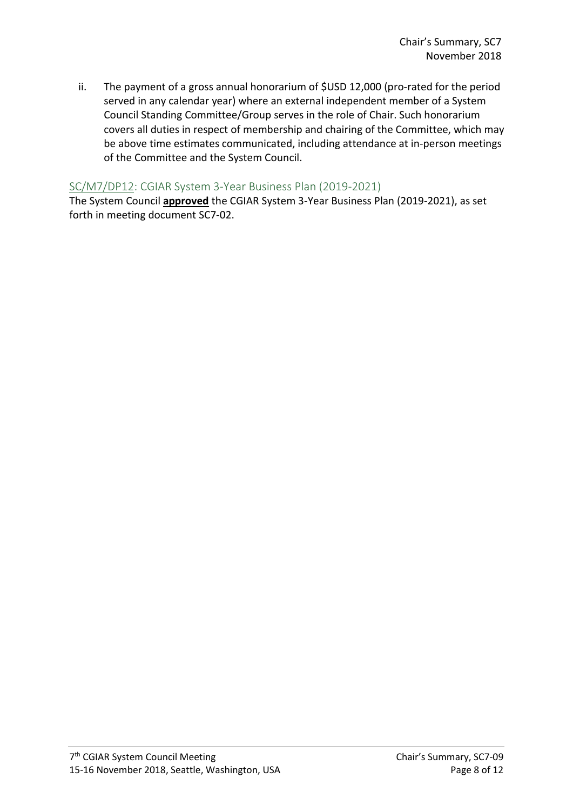ii. The payment of a gross annual honorarium of \$USD 12,000 (pro-rated for the period served in any calendar year) where an external independent member of a System Council Standing Committee/Group serves in the role of Chair. Such honorarium covers all duties in respect of membership and chairing of the Committee, which may be above time estimates communicated, including attendance at in-person meetings of the Committee and the System Council.

### SC/M7/DP12: CGIAR System 3-Year Business Plan (2019-2021)

The System Council **approved** the CGIAR System 3-Year Business Plan (2019-2021), as set forth in meeting document SC7-02.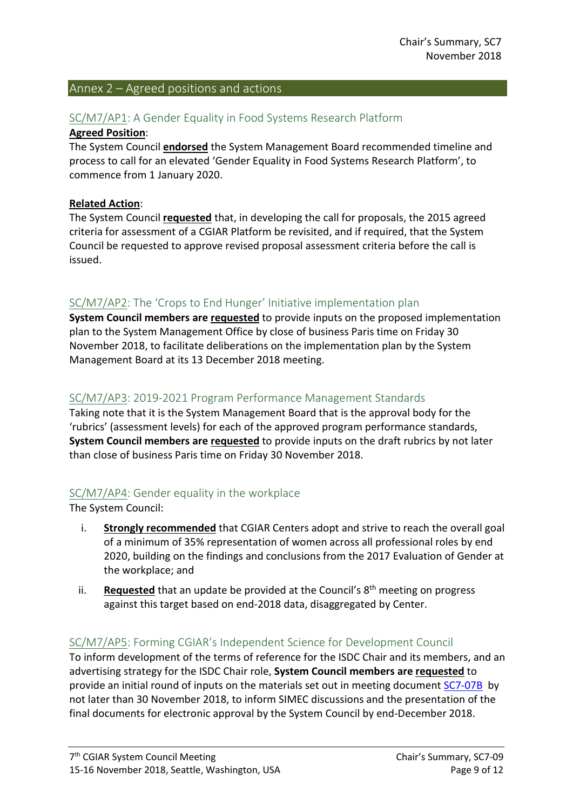#### Annex 2 – Agreed positions and actions

# SC/M7/AP1: A Gender Equality in Food Systems Research Platform

#### **Agreed Position**:

The System Council **endorsed** the System Management Board recommended timeline and process to call for an elevated 'Gender Equality in Food Systems Research Platform', to commence from 1 January 2020.

#### **Related Action**:

The System Council **requested** that, in developing the call for proposals, the 2015 agreed criteria for assessment of a CGIAR Platform be revisited, and if required, that the System Council be requested to approve revised proposal assessment criteria before the call is issued.

## SC/M7/AP2: The 'Crops to End Hunger' Initiative implementation plan

**System Council members are requested** to provide inputs on the proposed implementation plan to the System Management Office by close of business Paris time on Friday 30 November 2018, to facilitate deliberations on the implementation plan by the System Management Board at its 13 December 2018 meeting.

### SC/M7/AP3: 2019-2021 Program Performance Management Standards

Taking note that it is the System Management Board that is the approval body for the 'rubrics' (assessment levels) for each of the approved program performance standards, **System Council members are requested** to provide inputs on the draft rubrics by not later than close of business Paris time on Friday 30 November 2018.

### SC/M7/AP4: Gender equality in the workplace

The System Council:

- i. **Strongly recommended** that CGIAR Centers adopt and strive to reach the overall goal of a minimum of 35% representation of women across all professional roles by end 2020, building on the findings and conclusions from the 2017 Evaluation of Gender at the workplace; and
- ii. **Requested** that an update be provided at the Council's 8<sup>th</sup> meeting on progress against this target based on end-2018 data, disaggregated by Center.

### SC/M7/AP5: Forming CGIAR's Independent Science for Development Council

To inform development of the terms of reference for the ISDC Chair and its members, and an advertising strategy for the ISDC Chair role, **System Council members are requested** to provide an initial round of inputs on the materials set out in meeting document [SC7-07B](https://www.cgiar.org/wp/wp-content/uploads/2018/11/SC7-07B_Draft-0_ISDC-MemberCriteria_Chair-TOR-SelectionProcess.pdf) by not later than 30 November 2018, to inform SIMEC discussions and the presentation of the final documents for electronic approval by the System Council by end-December 2018.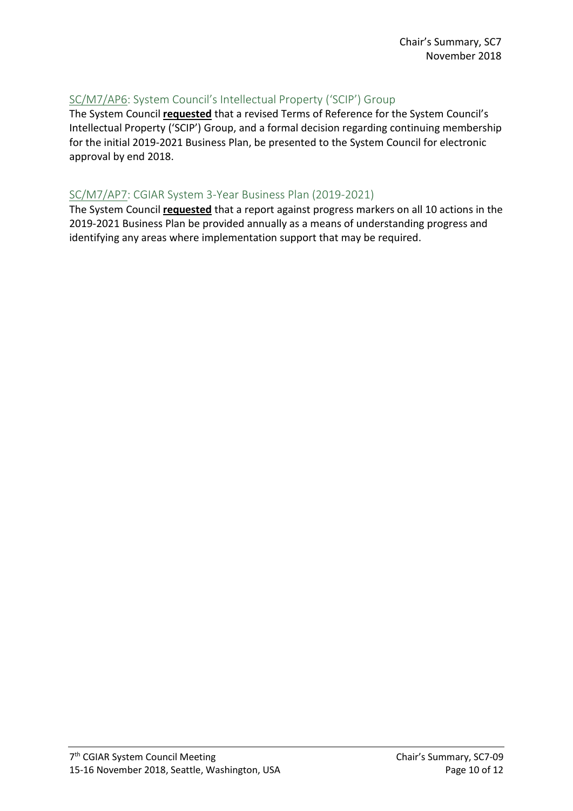# SC/M7/AP6: System Council's Intellectual Property ('SCIP') Group

The System Council **requested** that a revised Terms of Reference for the System Council's Intellectual Property ('SCIP') Group, and a formal decision regarding continuing membership for the initial 2019-2021 Business Plan, be presented to the System Council for electronic approval by end 2018.

# SC/M7/AP7: CGIAR System 3-Year Business Plan (2019-2021)

The System Council **requested** that a report against progress markers on all 10 actions in the 2019-2021 Business Plan be provided annually as a means of understanding progress and identifying any areas where implementation support that may be required.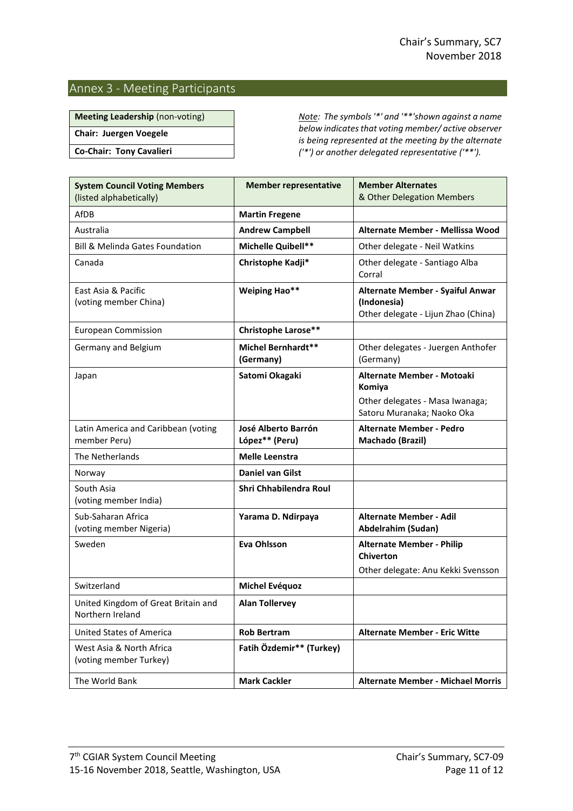#### Annex 3 - Meeting Participants

**Chair: Juergen Voegele**

**Co-Chair: Tony Cavalieri**

**Meeting Leadership** (non-voting) *Note: The symbols '\*' and '\*\*'shown against a name below indicates that voting member/ active observer is being represented at the meeting by the alternate ('\*') or another delegated representative ('\*\*').*

| <b>System Council Voting Members</b><br>(listed alphabetically) | <b>Member representative</b>           | <b>Member Alternates</b><br>& Other Delegation Members                                                |
|-----------------------------------------------------------------|----------------------------------------|-------------------------------------------------------------------------------------------------------|
| AfDB                                                            | <b>Martin Fregene</b>                  |                                                                                                       |
| Australia                                                       | <b>Andrew Campbell</b>                 | Alternate Member - Mellissa Wood                                                                      |
| <b>Bill &amp; Melinda Gates Foundation</b>                      | Michelle Quibell**                     | Other delegate - Neil Watkins                                                                         |
| Canada                                                          | Christophe Kadji*                      | Other delegate - Santiago Alba<br>Corral                                                              |
| East Asia & Pacific<br>(voting member China)                    | <b>Weiping Hao**</b>                   | Alternate Member - Syaiful Anwar<br>(Indonesia)<br>Other delegate - Lijun Zhao (China)                |
| <b>European Commission</b>                                      | Christophe Larose**                    |                                                                                                       |
| Germany and Belgium                                             | <b>Michel Bernhardt**</b><br>(Germany) | Other delegates - Juergen Anthofer<br>(Germany)                                                       |
| Japan                                                           | Satomi Okagaki                         | Alternate Member - Motoaki<br>Komiya<br>Other delegates - Masa Iwanaga;<br>Satoru Muranaka; Naoko Oka |
| Latin America and Caribbean (voting<br>member Peru)             | José Alberto Barrón<br>López** (Peru)  | <b>Alternate Member - Pedro</b><br>Machado (Brazil)                                                   |
| The Netherlands                                                 | <b>Melle Leenstra</b>                  |                                                                                                       |
| Norway                                                          | <b>Daniel van Gilst</b>                |                                                                                                       |
| South Asia<br>(voting member India)                             | Shri Chhabilendra Roul                 |                                                                                                       |
| Sub-Saharan Africa<br>(voting member Nigeria)                   | Yarama D. Ndirpaya                     | <b>Alternate Member - Adil</b><br>Abdelrahim (Sudan)                                                  |
| Sweden                                                          | <b>Eva Ohlsson</b>                     | <b>Alternate Member - Philip</b><br><b>Chiverton</b><br>Other delegate: Anu Kekki Svensson            |
| Switzerland                                                     | Michel Evéquoz                         |                                                                                                       |
| United Kingdom of Great Britain and<br>Northern Ireland         | <b>Alan Tollervey</b>                  |                                                                                                       |
| <b>United States of America</b>                                 | <b>Rob Bertram</b>                     | <b>Alternate Member - Eric Witte</b>                                                                  |
| West Asia & North Africa<br>(voting member Turkey)              | Fatih Özdemir** (Turkey)               |                                                                                                       |
| The World Bank                                                  | <b>Mark Cackler</b>                    | <b>Alternate Member - Michael Morris</b>                                                              |